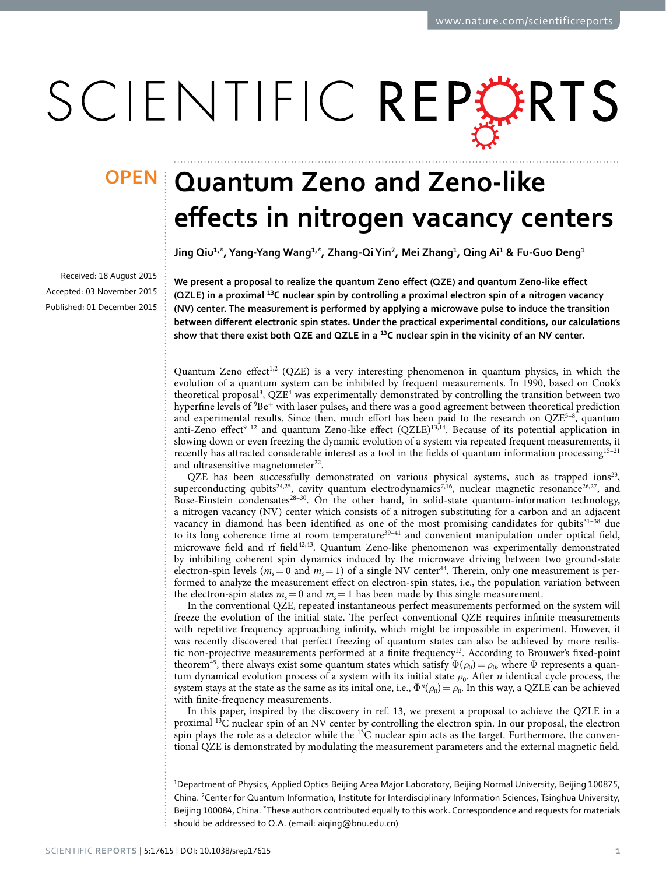# SCIENTIFIC REPERTS

Received: 18 August 2015 accepted: 03 November 2015 Published: 01 December 2015

## **OPEN Quantum Zeno and Zeno-like effects in nitrogen vacancy centers**

**Jing Qiu<sup>1</sup>,\*, Yang-Yang Wang1,\*, Zhang-QiYin<sup>2</sup>, Mei Zhang1, Qing Ai<sup>1</sup> & Fu-Guo Deng1**

**We present a proposal to realize the quantum Zeno effect (QZE) and quantum Zeno-like effect (QZLE) in a proximal 13C nuclear spin by controlling a proximal electron spin of a nitrogen vacancy (NV) center. The measurement is performed by applying a microwave pulse to induce the transition between different electronic spin states. Under the practical experimental conditions, our calculations show that there exist both QZE and QZLE in a 13C nuclear spin in the vicinity of an NV center.**

Quantum Zeno effect<sup>[1](#page-5-0)[,2](#page-5-1)</sup> (QZE) is a very interesting phenomenon in quantum physics, in which the evolution of a quantum system can be inhibited by frequent measurements. In 1990, based on Cook's theoretical proposal<sup>[3](#page-5-2)</sup>, QZE<sup>[4](#page-5-3)</sup> was experimentally demonstrated by controlling the transition between two hyperfine levels of  $9Be^+$  with laser pulses, and there was a good agreement between theoretical prediction and experimental results. Since then, much effort has been paid to the research on  $QZE<sup>5-8</sup>$ , quantum anti-Zeno effect<sup>9-12</sup> and quantum Zeno-like effect  $(QZLE)^{13,14}$ . Because of its potential application in slowing down or even freezing the dynamic evolution of a system via repeated frequent measurements, it recently has attracted considerable interest as a tool in the fields of quantum information processing[15–21](#page-6-3) and ultrasensitive magnetometer<sup>22</sup>.

QZE has been successfully demonstrated on various physical systems, such as trapped ions<sup>[23](#page-6-5)</sup>, superconducting qubits<sup>24[,25](#page-6-7)</sup>, cavity quantum electrodynamics<sup>7,[16](#page-6-9)</sup>, nuclear magnetic resonance<sup>[26,](#page-6-10)27</sup>, and Bose-Einstein condensates<sup>28-30</sup>. On the other hand, in solid-state quantum-information technology, a nitrogen vacancy (NV) center which consists of a nitrogen substituting for a carbon and an adjacent vacancy in diamond has been identified as one of the most promising candidates for qubits<sup>31-38</sup> due to its long coherence time at room temperature<sup>39–41</sup> and convenient manipulation under optical field, microwave field and rf field<sup>[42,](#page-6-15)[43](#page-6-16)</sup>. Quantum Zeno-like phenomenon was experimentally demonstrated by inhibiting coherent spin dynamics induced by the microwave driving between two ground-state electron-spin levels ( $m_s$  = 0 and  $m_s$  = 1) of a single NV center<sup>44</sup>. Therein, only one measurement is performed to analyze the measurement effect on electron-spin states, i.e., the population variation between the electron-spin states  $m_s = 0$  and  $m_s = 1$  has been made by this single measurement.

In the conventional QZE, repeated instantaneous perfect measurements performed on the system will freeze the evolution of the initial state. The perfect conventional QZE requires infinite measurements with repetitive frequency approaching infinity, which might be impossible in experiment. However, it was recently discovered that perfect freezing of quantum states can also be achieved by more realistic non-projective measurements performed at a finite frequency<sup>13</sup>. According to Brouwer's fixed-point theorem<sup>45</sup>, there always exist some quantum states which satisfy  $\Phi(\rho_0) = \rho_0$ , where  $\Phi$  represents a quantum dynamical evolution process of a system with its initial state  $ρ_0$ . After *n* identical cycle process, the system stays at the state as the same as its inital one, i.e.,  $\Phi^n(\rho_0) = \rho_0$ . In this way, a QZLE can be achieved with finite-frequency measurements.

In this paper, inspired by the discovery in [ref. 13,](#page-6-1) we present a proposal to achieve the QZLE in a proximal 13C nuclear spin of an NV center by controlling the electron spin. In our proposal, the electron spin plays the role as a detector while the  $13C$  nuclear spin acts as the target. Furthermore, the conventional QZE is demonstrated by modulating the measurement parameters and the external magnetic field.

<sup>1</sup>Department of Physics, Applied Optics Beijing Area Major Laboratory, Beijing Normal University, Beijing 100875, China. <sup>2</sup> Center for Quantum Information, Institute for Interdisciplinary Information Sciences, Tsinghua University, Beijing 100084, China. \*These authors contributed equally to this work. Correspondence and requests for materials should be addressed to Q.A. (email: [aiqing@bnu.edu.cn\)](mailto:aiqing@bnu.edu.cn)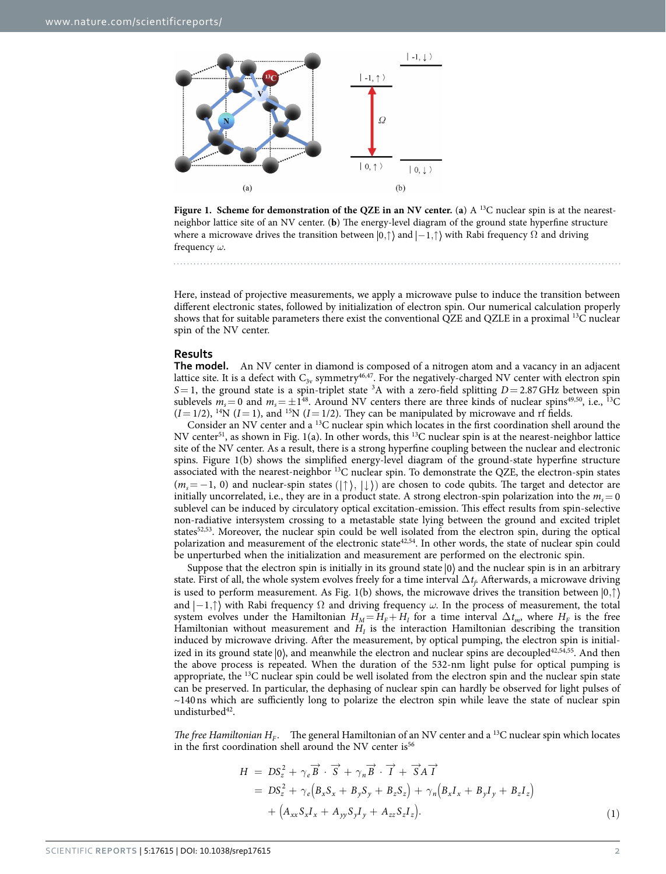

<span id="page-1-0"></span>**Figure 1. Scheme for demonstration of the QZE in an NV center. (a)**  $A<sup>13</sup>C$  **nuclear spin is at the nearest**neighbor lattice site of an NV center. (**b**) The energy-level diagram of the ground state hyperfine structure where a microwave drives the transition between  $|0, \uparrow\rangle$  and  $|-1, \uparrow\rangle$  with Rabi frequency  $\Omega$  and driving frequency *ω*.

Here, instead of projective measurements, we apply a microwave pulse to induce the transition between different electronic states, followed by initialization of electron spin. Our numerical calculation properly shows that for suitable parameters there exist the conventional QZE and QZLE in a proximal 13C nuclear spin of the NV center.

#### **Results**

**The model.** An NV center in diamond is composed of a nitrogen atom and a vacancy in an adjacent lattice site. It is a defect with  $C_{3v}$  symmetry<sup>[46,](#page-6-19)47</sup>. For the negatively-charged NV center with electron spin S = 1, the ground state is a spin-triplet state <sup>3</sup>A with a zero-field splitting *D* = 2.87 GHz between spin sublevels  $m_s = 0$  and  $m_s = \pm 1^{48}$ . Around NV centers there are three kinds of nuclear spins<sup>[49](#page-6-22),50</sup>, i.e., <sup>13</sup>C  $(I=1/2)$ , <sup>14</sup>N  $(I=1)$ , and <sup>15</sup>N  $(I=1/2)$ . They can be manipulated by microwave and rf fields.

Consider an NV center and a 13C nuclear spin which locates in the first coordination shell around the NV center<sup>51</sup>, as shown in [Fig. 1\(a\).](#page-1-0) In other words, this <sup>13</sup>C nuclear spin is at the nearest-neighbor lattice site of the NV center. As a result, there is a strong hyperfine coupling between the nuclear and electronic spins. [Figure 1\(b\)](#page-1-0) shows the simplified energy-level diagram of the ground-state hyperfine structure associated with the nearest-neighbor 13C nuclear spin. To demonstrate the QZE, the electron-spin states  $(m_s = -1, 0)$  and nuclear-spin states  $(|\uparrow\rangle, |\downarrow\rangle)$  are chosen to code qubits. The target and detector are initially uncorrelated, i.e., they are in a product state. A strong electron-spin polarization into the  $m_s = 0$ sublevel can be induced by circulatory optical excitation-emission. This effect results from spin-selective non-radiative intersystem crossing to a metastable state lying between the ground and excited triplet states<sup>52,53</sup>. Moreover, the nuclear spin could be well isolated from the electron spin, during the optical polarization and measurement of the electronic stat[e42](#page-6-15),[54](#page-7-3). In other words, the state of nuclear spin could be unperturbed when the initialization and measurement are performed on the electronic spin.

Suppose that the electron spin is initially in its ground state  $|0\rangle$  and the nuclear spin is in an arbitrary state. First of all, the whole system evolves freely for a time interval  $\Delta t_f$ . Afterwards, a microwave driving is used to perform measurement. As [Fig. 1\(b\)](#page-1-0) shows, the microwave drives the transition between  $|0,\uparrow\rangle$ and  $|-1, \uparrow\rangle$  with Rabi frequency  $\Omega$  and driving frequency  $\omega$ . In the process of measurement, the total system evolves under the Hamiltonian  $H_M = H_F + H_I$  for a time interval  $\Delta t_m$ , where  $H_F$  is the free Hamiltonian without measurement and  $H<sub>I</sub>$  is the interaction Hamiltonian describing the transition induced by microwave driving. After the measurement, by optical pumping, the electron spin is initialized in its ground state  $|0\rangle$ , and meanwhile the electron and nuclear spins are decoupled<sup>[42,](#page-6-15)[54](#page-7-3)[,55](#page-7-4)</sup>. And then the above process is repeated. When the duration of the 532-nm light pulse for optical pumping is appropriate, the  $13C$  nuclear spin could be well isolated from the electron spin and the nuclear spin state can be preserved. In particular, the dephasing of nuclear spin can hardly be observed for light pulses of ~140ns which are sufficiently long to polarize the electron spin while leave the state of nuclear spin undisturbed<sup>42</sup>.

*The free Hamiltonian*  $H_F$ *.* The general Hamiltonian of an NV center and a <sup>13</sup>C nuclear spin which locates in the first coordination shell around the NV center is<sup>[56](#page-7-5)</sup>

$$
H = DSz2 + \gammae \overrightarrow{B} \cdot \overrightarrow{S} + \gamman \overrightarrow{B} \cdot \overrightarrow{I} + \overrightarrow{S} \overrightarrow{A} \overrightarrow{I}
$$
  
= DS<sub>z</sub><sup>2</sup> + \gamma<sub>e</sub> (B<sub>x</sub>S<sub>x</sub> + B<sub>y</sub>S<sub>y</sub> + B<sub>z</sub>S<sub>z</sub>) + \gamma<sub>n</sub> (B<sub>x</sub>I<sub>x</sub> + B<sub>y</sub>I<sub>y</sub> + B<sub>z</sub>I<sub>z</sub>)  
+ (A<sub>xx</sub>S<sub>x</sub>I<sub>x</sub> + A<sub>yy</sub>S<sub>y</sub>I<sub>y</sub> + A<sub>zz</sub>S<sub>z</sub>I<sub>z</sub>). (1)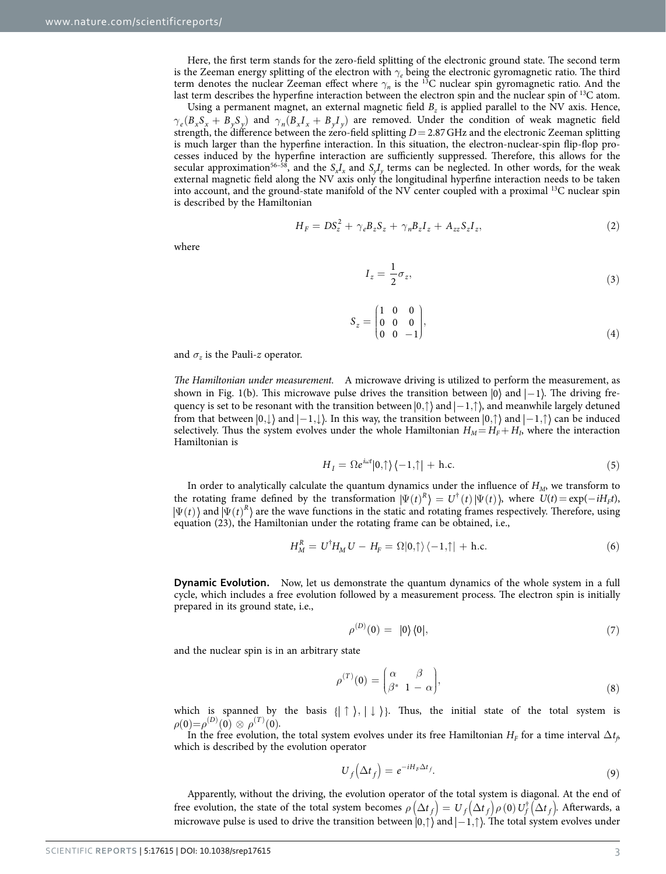Here, the first term stands for the zero-field splitting of the electronic ground state. The second term is the Zeeman energy splitting of the electron with *γe* being the electronic gyromagnetic ratio. The third term denotes the nuclear Zeeman effect where *γn* is the 13C nuclear spin gyromagnetic ratio. And the last term describes the hyperfine interaction between the electron spin and the nuclear spin of  $^{13}C$  atom.

Using a permanent magnet, an external magnetic field  $B<sub>z</sub>$  is applied parallel to the NV axis. Hence,  $\gamma_e(B_xS_x + B_yS_y)$  and  $\gamma_n(B_xI_x + B_yI_y)$  are removed. Under the condition of weak magnetic field strength, the difference between the zero-field splitting *D*= 2.87GHz and the electronic Zeeman splitting is much larger than the hyperfine interaction. In this situation, the electron-nuclear-spin flip-flop processes induced by the hyperfine interaction are sufficiently suppressed. Therefore, this allows for the secular approximation<sup>56–58</sup>, and the  $S_xI_x$  and  $S_yI_y$  terms can be neglected. In other words, for the weak external magnetic field along the NV axis only the longitudinal hyperfine interaction needs to be taken into account, and the ground-state manifold of the NV center coupled with a proximal 13C nuclear spin is described by the Hamiltonian

$$
H_F = DS_z^2 + \gamma_e B_z S_z + \gamma_n B_z I_z + A_{zz} S_z I_z, \qquad (2)
$$

where

$$
I_z = \frac{1}{2}\sigma_z,\tag{3}
$$

$$
S_z = \begin{pmatrix} 1 & 0 & 0 \\ 0 & 0 & 0 \\ 0 & 0 & -1 \end{pmatrix},\tag{4}
$$

and  $\sigma$ *z* is the Pauli-*z* operator.

*The Hamiltonian under measurement.* A microwave driving is utilized to perform the measurement, as shown in Fig. 1(b). This microwave pulse drives the transition between  $|0\rangle$  and  $|-1\rangle$ . The driving frequency is set to be resonant with the transition between  $|0,\uparrow\rangle$  and  $|-1,\uparrow\rangle$ , and meanwhile largely detuned from that between  $|0, \downarrow\rangle$  and  $|-1, \downarrow\rangle$ . In this way, the transition between  $|0, \uparrow\rangle$  and  $|-1, \uparrow\rangle$  can be induced selectively. Thus the system evolves under the whole Hamiltonian  $H_M = H_F + H_I$ , where the interaction Hamiltonian is

$$
H_{I} = \Omega e^{i\omega t} |0,\uparrow\rangle \langle -1,\uparrow| + \text{h.c.}
$$
\n(5)

In order to analytically calculate the quantum dynamics under the influence of *HM*, we transform to the rotating frame defined by the transformation  $|\Psi(t)^R\rangle = U^{\dagger}(t)|\Psi(t)\rangle$ , where  $U(t) = \exp(-iH_F t)$ ,  $\Psi(t)$  and  $|\Psi(t)^R$  are the wave functions in the static and rotating frames respectively. Therefore, using equation (23), the Hamiltonian under the rotating frame can be obtained, i.e.,

$$
H_M^R = U^{\dagger} H_M U - H_F = \Omega |0,\uparrow\rangle \langle -1,\uparrow| + \text{h.c.}
$$
 (6)

**Dynamic Evolution.** Now, let us demonstrate the quantum dynamics of the whole system in a full cycle, which includes a free evolution followed by a measurement process. The electron spin is initially prepared in its ground state, i.e.,

$$
\rho^{(D)}(0) = |0\rangle\langle 0|,\tag{7}
$$

and the nuclear spin is in an arbitrary state

$$
\rho^{(T)}(0) = \begin{pmatrix} \alpha & \beta \\ \beta^* & 1 - \alpha \end{pmatrix},\tag{8}
$$

which is spanned by the basis  $\{\uparrow\}, \downarrow\}$ . Thus, the initial state of the total system is  $\rho(0) = \rho^{(D)}(0) \otimes \rho^{(T)}(0).$ 

In the free evolution, the total system evolves under its free Hamiltonian  $H_F$  for a time interval  $\Delta t_\beta$ which is described by the evolution operator

$$
U_f(\Delta t_f) = e^{-iH_F\Delta t_f}.\tag{9}
$$

Apparently, without the driving, the evolution operator of the total system is diagonal. At the end of free evolution, the state of the total system becomes  $\rho(\Delta t_f) = U_f(\Delta t_f) \rho(0) U_f^{\dagger}(\Delta t_f)$ . Afterwards, a microwave pulse is used to drive the transition between  $|0,\uparrow\rangle$  and  $|-1,\uparrow\rangle$ . The total system evolves under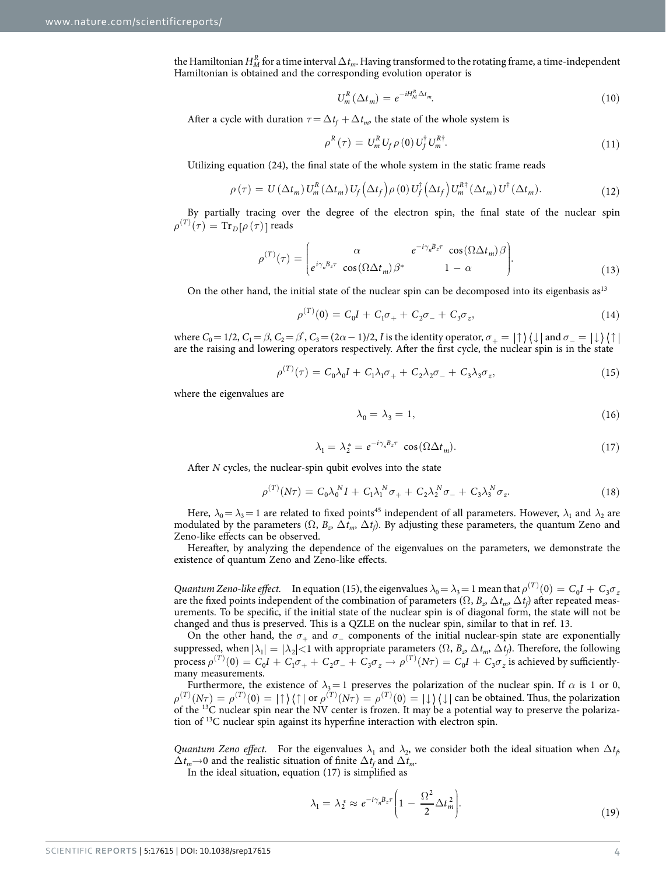the Hamiltonian  $H_M^R$  for a time interval  $\Delta t_m$ . Having transformed to the rotating frame, a time-independent Hamiltonian is obtained and the corresponding evolution operator is

$$
U_m^R(\Delta t_m) = e^{-iH_M^R \Delta t_m}.\tag{10}
$$

After a cycle with duration  $\tau\!=\!\Delta t_{\!f}\!+\!\Delta t_{\!m}$ , the state of the whole system is

$$
\rho^{R}(\tau) = U_{m}^{R} U_{f} \rho(0) U_{f}^{\dagger} U_{m}^{R\dagger}.
$$
\n(11)

Utilizing equation (24), the final state of the whole system in the static frame reads

$$
\rho(\tau) = U(\Delta t_m) U_m^R(\Delta t_m) U_f(\Delta t_f) \rho(0) U_f^{\dagger}(\Delta t_f) U_m^{R\dagger}(\Delta t_m) U^{\dagger}(\Delta t_m). \tag{12}
$$

By partially tracing over the degree of the electron spin, the final state of the nuclear spin  $\rho^{(T)}(\tau) = \mathrm{Tr}_D[\rho(\tau)]$  reads

$$
\rho^{(T)}(\tau) = \begin{pmatrix} \alpha & e^{-i\gamma_n B_z \tau} & \cos(\Omega \Delta t_m) \beta \\ e^{i\gamma_n B_z \tau} & \cos(\Omega \Delta t_m) \beta^* & 1 - \alpha \end{pmatrix}.
$$
\n(13)

On the other hand, the initial state of the nuclear spin can be decomposed into its eigenbasis as<sup>13</sup>

$$
\rho^{(T)}(0) = C_0 I + C_1 \sigma_+ + C_2 \sigma_- + C_3 \sigma_z, \tag{14}
$$

where  $C_0=1/2$ ,  $C_1=\beta$ ,  $C_2=\beta^*$ ,  $C_3=(2\alpha-1)/2$ , *I* is the identity operator,  $\sigma_+=\ket{\uparrow}\bra{\downarrow}$  and  $\sigma_-=\ket{\downarrow}\bra{\uparrow}$ are the raising and lowering operators respectively. After the first cycle, the nuclear spin is in the state

$$
\rho^{(T)}(\tau) = C_0 \lambda_0 I + C_1 \lambda_1 \sigma_+ + C_2 \lambda_2 \sigma_- + C_3 \lambda_3 \sigma_z, \tag{15}
$$

where the eigenvalues are

$$
\lambda_0 = \lambda_3 = 1,\tag{16}
$$

$$
\lambda_1 = \lambda_2^* = e^{-i\gamma_n B_z \tau} \cos(\Omega \Delta t_m). \tag{17}
$$

After *N* cycles, the nuclear-spin qubit evolves into the state

$$
\rho^{(T)}(N\tau) = C_0 \lambda_0^N I + C_1 \lambda_1^N \sigma_+ + C_2 \lambda_2^N \sigma_- + C_3 \lambda_3^N \sigma_z. \tag{18}
$$

Here,  $\lambda_0 = \lambda_3 = 1$  are related to fixed points<sup>45</sup> independent of all parameters. However,  $\lambda_1$  and  $\lambda_2$  are modulated by the parameters  $(\Omega, B_z, \Delta t_m, \Delta t_f)$ . By adjusting these parameters, the quantum Zeno and Zeno-like effects can be observed.

Hereafter, by analyzing the dependence of the eigenvalues on the parameters, we demonstrate the existence of quantum Zeno and Zeno-like effects.

*Quantum Zeno-like effect.* In equation (15), the eigenvalues  $\lambda_0 = \lambda_3 = 1$  mean that  $\rho^{(T)}(0) = C_0 I + C_3 \sigma_2$ are the fixed points independent of the combination of parameters  $(\Omega, B_z, \Delta t_m, \Delta t_f)$  after repeated measurements. To be specific, if the initial state of the nuclear spin is of diagonal form, the state will not be changed and thus is preserved. This is a QZLE on the nuclear spin, similar to that in [ref. 13.](#page-6-1)

On the other hand, the  $\sigma_+$  and  $\sigma_-$  components of the initial nuclear-spin state are exponentially suppressed, when  $|\lambda_1| = |\lambda_2|$ <1 with appropriate parameters  $(\Omega, B_z, \Delta t_m, \Delta t_f)$ . Therefore, the following  $\text{process } \rho^{(T)}(0) = C_0 I + C_1 \sigma_+ + C_2 \sigma_- + C_3 \sigma_z \rightarrow \rho^{(T)}(N\tau) = C_0 I + C_3 \sigma_z$  is achieved by sufficientlymany measurements.

Furthermore, the existence of  $\lambda_3 = 1$  preserves the polarization of the nuclear spin. If  $\alpha$  is 1 or 0,  $\rho^{(T)}(N\tau) = \rho^{(T)}(0) = |\uparrow\rangle\langle\uparrow| \text{ or } \rho^{(T)}(N\tau) = \rho^{(T)}(0) = |\downarrow\rangle\langle\downarrow|$  can be obtained. Thus, the polarization of the 13C nuclear spin near the NV center is frozen. It may be a potential way to preserve the polarization of 13C nuclear spin against its hyperfine interaction with electron spin.

*Quantum Zeno effect.* For the eigenvalues  $\lambda_1$  and  $\lambda_2$ , we consider both the ideal situation when  $\Delta t_f$  $\Delta t_m$  → 0 and the realistic situation of finite  $\Delta t_f$  and  $\Delta t_m$ .

In the ideal situation, equation (17) is simplified as

$$
\lambda_1 = \lambda_2^* \approx e^{-i\gamma_n B_z \tau} \left( 1 - \frac{\Omega^2}{2} \Delta t_m^2 \right).
$$
\n(19)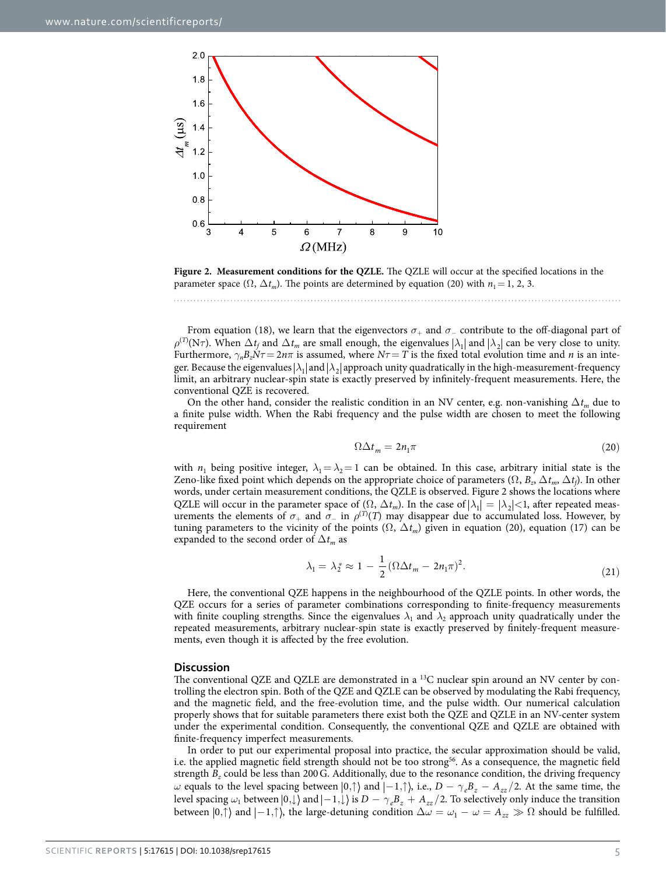

<span id="page-4-0"></span>**Figure 2. Measurement conditions for the QZLE.** The QZLE will occur at the specified locations in the parameter space  $(\Omega, \Delta t_m)$ . The points are determined by equation (20) with  $n_1 = 1, 2, 3$ .

From equation (18), we learn that the eigenvectors  $\sigma_+$  and  $\sigma_-$  contribute to the off-diagonal part of  $\rho^{(T)}(N\tau)$ . When  $\Delta t_f$  and  $\Delta t_m$  are small enough, the eigenvalues  $|\lambda_1|$  and  $|\lambda_2|$  can be very close to unity. Furthermore,  $γ<sub>n</sub>B<sub>z</sub>Nτ = 2nπ$  is assumed, where  $Nτ = T$  is the fixed total evolution time and *n* is an integer. Because the eigenvalues  $|\lambda_1|$  and  $|\lambda_2|$  approach unity quadratically in the high-measurement-frequency limit, an arbitrary nuclear-spin state is exactly preserved by infinitely-frequent measurements. Here, the conventional QZE is recovered.

On the other hand, consider the realistic condition in an NV center, e.g. non-vanishing Δ*tm* due to a finite pulse width. When the Rabi frequency and the pulse width are chosen to meet the following requirement

$$
\Omega \Delta t_m = 2n_1 \pi \tag{20}
$$

with  $n_1$  being positive integer,  $\lambda_1 = \lambda_2 = 1$  can be obtained. In this case, arbitrary initial state is the Zeno-like fixed point which depends on the appropriate choice of parameters  $(\Omega, B_z, \Delta t_m, \Delta t_f)$ . In other words, under certain measurement conditions, the QZLE is observed. [Figure 2](#page-4-0) shows the locations where QZLE will occur in the parameter space of  $(\Omega, \Delta t_m)$ . In the case of  $|\lambda_1| = |\lambda_2| < 1$ , after repeated measurements the elements of  $\sigma_+$  and  $\sigma_-$  in  $\rho^{(T)}(T)$  may disappear due to accumulated loss. However, by tuning parameters to the vicinity of the points  $(\Omega, \Delta t_m)$  given in equation (20), equation (17) can be expanded to the second order of  $\Delta t_m$  as

$$
\lambda_1 = \lambda_2^* \approx 1 - \frac{1}{2} \left( \Omega \Delta t_m - 2n_1 \pi \right)^2. \tag{21}
$$

Here, the conventional QZE happens in the neighbourhood of the QZLE points. In other words, the QZE occurs for a series of parameter combinations corresponding to finite-frequency measurements with finite coupling strengths. Since the eigenvalues  $\lambda_1$  and  $\lambda_2$  approach unity quadratically under the repeated measurements, arbitrary nuclear-spin state is exactly preserved by finitely-frequent measurements, even though it is affected by the free evolution.

#### **Discussion**

The conventional QZE and QZLE are demonstrated in a <sup>13</sup>C nuclear spin around an NV center by controlling the electron spin. Both of the QZE and QZLE can be observed by modulating the Rabi frequency, and the magnetic field, and the free-evolution time, and the pulse width. Our numerical calculation properly shows that for suitable parameters there exist both the QZE and QZLE in an NV-center system under the experimental condition. Consequently, the conventional QZE and QZLE are obtained with finite-frequency imperfect measurements.

In order to put our experimental proposal into practice, the secular approximation should be valid, i.e. the applied magnetic field strength should not be too stron[g56](#page-7-5). As a consequence, the magnetic field strength *B<sub>z</sub>* could be less than 200G. Additionally, due to the resonance condition, the driving frequency *ω* equals to the level spacing between  $|0,\uparrow\rangle$  and  $|-1,\uparrow\rangle$ , i.e.,  $D - \gamma_e B_z - A_{zz}/2$ . At the same time, the level spacing  $\omega_1$  between  $\ket{0,\downarrow}$  and  $\ket{-1,\downarrow}$  is  $D - \gamma_e B_z + A_{zz}/2$ . To selectively only induce the transition between  $|0,\uparrow\rangle$  and  $|-1,\uparrow\rangle$ , the large-detuning condition  $\Delta\omega = \omega_1 - \omega = A_{zz} \gg \Omega$  should be fulfilled.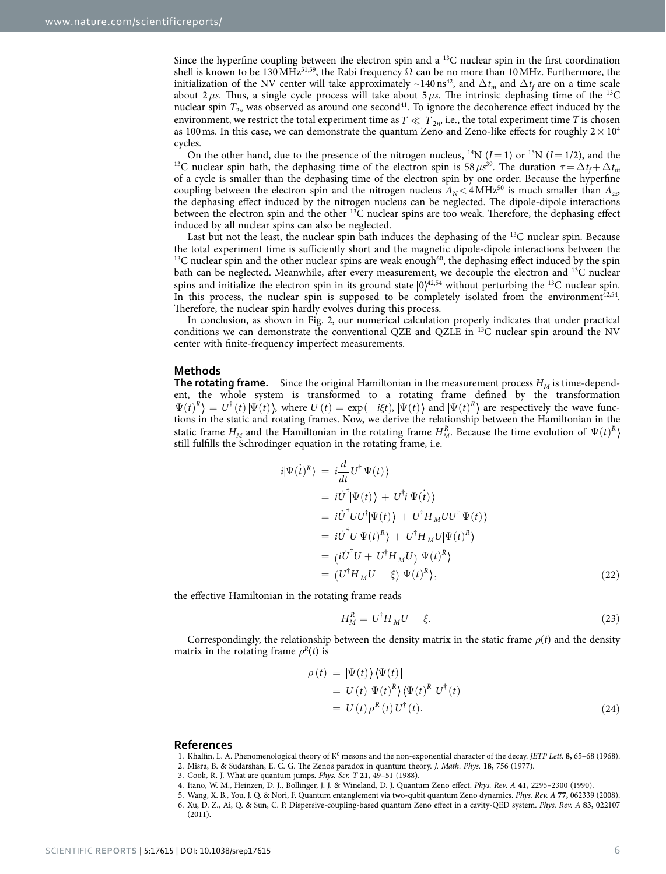Since the hyperfine coupling between the electron spin and a  $^{13}$ C nuclear spin in the first coordination shell is known to be 130 MHz<sup>51,[59](#page-7-6)</sup>, the Rabi frequency  $\Omega$  can be no more than 10 MHz. Furthermore, the initialization of the NV center will take approximately ~140 ns<sup>42</sup>, and  $\Delta t_m$  and  $\Delta t_f$  are on a time scale about 2 *μs*. Thus, a single cycle process will take about 5 *μs*. The intrinsic dephasing time of the <sup>13</sup>C nuclear spin  $T_{2n}$  was observed as around one second<sup>41</sup>. To ignore the decoherence effect induced by the environment, we restrict the total experiment time as  $T \ll T_{2n}$ , i.e., the total experiment time *T* is chosen as 100 ms. In this case, we can demonstrate the quantum Zeno and Zeno-like effects for roughly  $2 \times 10^4$ 

cycles.<br>On the other hand, due to the presence of the nitrogen nucleus, <sup>14</sup>N ( $I=1$ ) or <sup>15</sup>N ( $I=1/2$ ), and the On the other hand, due to the presence of the nitrogen nucleus, <sup>14</sup>N (*I* = 1) or <sup>15</sup>N (*I* = 1/2), and the <sup>13</sup>C nuclear spin bath, the dephasing time of the electron spin is 58  $\mu s^{39}$ . The duration  $\tau = \Delta t_f + \Delta t_m$ of a cycle is smaller than the dephasing time of the electron spin by one order. Because the hyperfine coupling between the electron spin and the nitrogen nucleus  $A_N < 4 \text{ MHz}^{50}$  is much smaller than  $A_{zz}$ , the dephasing effect induced by the nitrogen nucleus can be neglected. The dipole-dipole interactions between the electron spin and the other  ${}^{13}C$  nuclear spins are too weak. Therefore, the dephasing effect induced by all nuclear spins can also be neglected.

Last but not the least, the nuclear spin bath induces the dephasing of the <sup>13</sup>C nuclear spin. Because the total experiment time is sufficiently short and the magnetic dipole-dipole interactions between the  $13C$  nuclear spin and the other nuclear spins are weak enough<sup>60</sup>, the dephasing effect induced by the spin bath can be neglected. Meanwhile, after every measurement, we decouple the electron and 13C nuclear spins and initialize the electron spin in its ground state  $|0\rangle^{42,54}$  $|0\rangle^{42,54}$  $|0\rangle^{42,54}$  $|0\rangle^{42,54}$  without perturbing the <sup>13</sup>C nuclear spin. In this process, the nuclear spin is supposed to be completely isolated from the environment $^{42,54}$  $^{42,54}$  $^{42,54}$ . Therefore, the nuclear spin hardly evolves during this process.

In conclusion, as shown in [Fig. 2](#page-4-0), our numerical calculation properly indicates that under practical conditions we can demonstrate the conventional QZE and QZLE in 13C nuclear spin around the NV center with finite-frequency imperfect measurements.

#### **Methods**

**The rotating frame.** Since the original Hamiltonian in the measurement process  $H_M$  is time-dependent, the whole system is transformed to a rotating frame defined by the transformation  $\Psi(t)^R$  =  $U^{\dagger}(t)|\Psi(t)$  , where  $U(t) = \exp(-i \xi t)$ ,  $|\Psi(t)\rangle$  and  $|\Psi(t)^R\rangle$  are respectively the wave functions in the static and rotating frames. Now, we derive the relationship between the Hamiltonian in the static frame  $H_M$  and the Hamiltonian in the rotating frame  $H_M^R$ . Because the time evolution of  $\left|\Psi(t)\right|^R$ still fulfills the Schrodinger equation in the rotating frame, i.e.

$$
i|\Psi(t)^R\rangle = i\frac{d}{dt}U^{\dagger}|\Psi(t)\rangle
$$
  
\n
$$
= i\dot{U}^{\dagger}|\Psi(t)\rangle + U^{\dagger}i|\Psi(t)\rangle
$$
  
\n
$$
= i\dot{U}^{\dagger}UU^{\dagger}|\Psi(t)\rangle + U^{\dagger}H_MUU^{\dagger}|\Psi(t)\rangle
$$
  
\n
$$
= i\dot{U}^{\dagger}U|\Psi(t)^R\rangle + U^{\dagger}H_MU|\Psi(t)^R\rangle
$$
  
\n
$$
= (i\dot{U}^{\dagger}U + U^{\dagger}H_MU)|\Psi(t)^R\rangle
$$
  
\n
$$
= (U^{\dagger}H_MU - \xi)|\Psi(t)^R\rangle,
$$
 (22)

the effective Hamiltonian in the rotating frame reads

$$
H_M^R = U^{\dagger} H_M U - \xi. \tag{23}
$$

Correspondingly, the relationship between the density matrix in the static frame  $\rho(t)$  and the density matrix in the rotating frame  $\rho^R(t)$  is

$$
\rho(t) = |\Psi(t)\rangle \langle \Psi(t)|
$$
  
=  $U(t) |\Psi(t)^R\rangle \langle \Psi(t)^R| U^{\dagger}(t)$   
=  $U(t) \rho^R(t) U^{\dagger}(t)$ . (24)

#### **References**

- <span id="page-5-1"></span><span id="page-5-0"></span>1. Khalfin, L. A. Phenomenological theory of K<sup>0</sup> mesons and the non-exponential character of the decay. *JETP Lett*. **8**, 65-68 (1968).
- 2. Misra, B. & Sudarshan, E. C. G. The Zeno's paradox in quantum theory. *J. Math. Phys.* **18,** 756 (1977).
- <span id="page-5-3"></span><span id="page-5-2"></span>3. Cook, R. J. What are quantum jumps. *Phys. Scr. T* **21,** 49–51 (1988).
- <span id="page-5-4"></span>4. Itano, W. M., Heinzen, D. J., Bollinger, J. J. & Wineland, D. J. Quantum Zeno effect. *Phys. Rev. A* **41,** 2295–2300 (1990).
- 5. Wang, X. B., You, J. Q. & Nori, F. Quantum entanglement via two-qubit quantum Zeno dynamics. *Phys. Rev. A* **77,** 062339 (2008).
	- 6. Xu, D. Z., Ai, Q. & Sun, C. P. Dispersive-coupling-based quantum Zeno effect in a cavity-QED system. *Phys. Rev. A* **83,** 022107 (2011).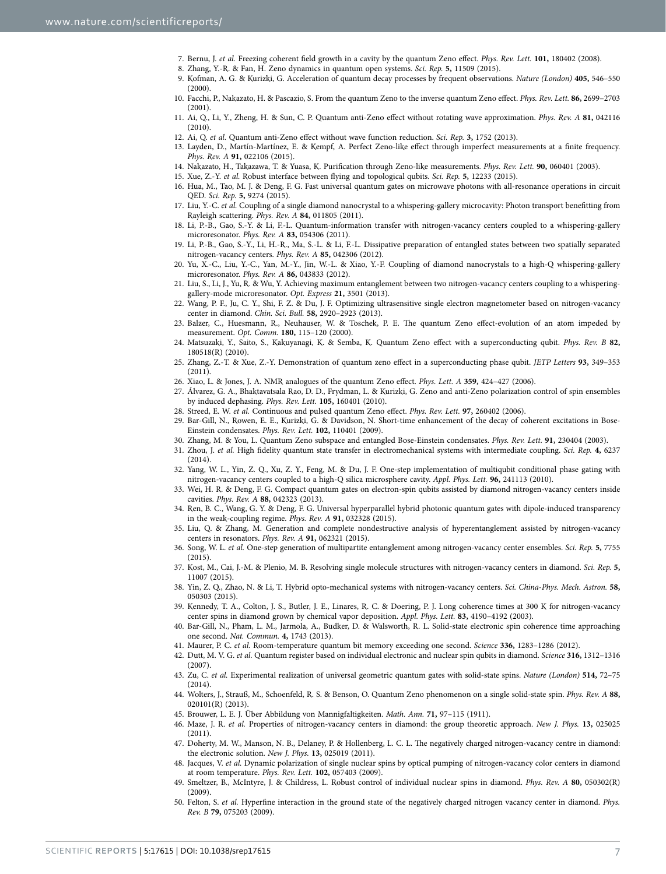- <span id="page-6-8"></span>7. Bernu, J. *et al.* Freezing coherent field growth in a cavity by the quantum Zeno effect. *Phys. Rev. Lett.* **101,** 180402 (2008).
- 8. Zhang, Y.-R. & Fan, H. Zeno dynamics in quantum open systems. *Sci. Rep.* **5,** 11509 (2015).
- <span id="page-6-0"></span>9. Kofman, A. G. & Kurizki, G. Acceleration of quantum decay processes by frequent observations. *Nature (London)* **405,** 546–550  $(2000)$
- 10. Facchi, P., Nakazato, H. & Pascazio, S. From the quantum Zeno to the inverse quantum Zeno effect. *Phys. Rev. Lett.* **86,** 2699–2703 (2001).
- 11. Ai, Q., Li, Y., Zheng, H. & Sun, C. P. Quantum anti-Zeno effect without rotating wave approximation. *Phys. Rev. A* **81,** 042116 (2010).
- <span id="page-6-1"></span>12. Ai, Q. *et al.* Quantum anti-Zeno effect without wave function reduction. *Sci. Rep.* **3,** 1752 (2013).
- 13. Layden, D., Martín-Martínez, E. & Kempf, A. Perfect Zeno-like effect through imperfect measurements at a finite frequency. *Phys. Rev. A* **91,** 022106 (2015).
- <span id="page-6-2"></span>14. Nakazato, H., Takazawa, T. & Yuasa, K. Purification through Zeno-like measurements. *Phys. Rev. Lett.* **90,** 060401 (2003).
- <span id="page-6-3"></span>15. Xue, Z.-Y. *et al.* Robust interface between flying and topological qubits. *Sci. Rep.* **5,** 12233 (2015).
- <span id="page-6-9"></span>16. Hua, M., Tao, M. J. & Deng, F. G. Fast universal quantum gates on microwave photons with all-resonance operations in circuit QED. *Sci. Rep.* **5,** 9274 (2015).
- 17. Liu, Y.-C. *et al.* Coupling of a single diamond nanocrystal to a whispering-gallery microcavity: Photon transport benefitting from Rayleigh scattering. *Phys. Rev. A* **84,** 011805 (2011).
- 18. Li, P.-B., Gao, S.-Y. & Li, F.-L. Quantum-information transfer with nitrogen-vacancy centers coupled to a whispering-gallery microresonator. *Phys. Rev. A* **83,** 054306 (2011).
- 19. Li, P.-B., Gao, S.-Y., Li, H.-R., Ma, S.-L. & Li, F.-L. Dissipative preparation of entangled states between two spatially separated nitrogen-vacancy centers. *Phys. Rev. A* **85,** 042306 (2012).
- 20. Yu, X.-C., Liu, Y.-C., Yan, M.-Y., Jin, W.-L. & Xiao, Y.-F. Coupling of diamond nanocrystals to a high-Q whispering-gallery microresonator. *Phys. Rev. A* **86,** 043833 (2012).
- 21. Liu, S., Li, J., Yu, R. & Wu, Y. Achieving maximum entanglement between two nitrogen-vacancy centers coupling to a whisperinggallery-mode microresonator. *Opt. Express* **21,** 3501 (2013).
- <span id="page-6-4"></span>22. Wang, P. F., Ju, C. Y., Shi, F. Z. & Du, J. F. Optimizing ultrasensitive single electron magnetometer based on nitrogen-vacancy center in diamond. *Chin. Sci. Bull.* **58,** 2920–2923 (2013).
- <span id="page-6-5"></span>23. Balzer, C., Huesmann, R., Neuhauser, W. & Toschek, P. E. The quantum Zeno effect-evolution of an atom impeded by measurement. *Opt. Comm.* **180,** 115–120 (2000).
- <span id="page-6-6"></span>24. Matsuzaki, Y., Saito, S., Kakuyanagi, K. & Semba, K. Quantum Zeno effect with a superconducting qubit. *Phys. Rev. B* **82,** 180518(R) (2010).
- <span id="page-6-7"></span>25. Zhang, Z.-T. & Xue, Z.-Y. Demonstration of quantum zeno effect in a superconducting phase qubit. *JETP Letters* **93,** 349–353 (2011).
- <span id="page-6-11"></span><span id="page-6-10"></span>26. Xiao, L. & Jones, J. A. NMR analogues of the quantum Zeno effect. *Phys. Lett. A* **359,** 424–427 (2006).
- 27. Álvarez, G. A., Bhaktavatsala Rao, D. D., Frydman, L. & Kurizki, G. Zeno and anti-Zeno polarization control of spin ensembles by induced dephasing. *Phys. Rev. Lett.* **105,** 160401 (2010).
- <span id="page-6-12"></span>28. Streed, E. W. *et al.* Continuous and pulsed quantum Zeno effect. *Phys. Rev. Lett.* **97,** 260402 (2006).
- 29. Bar-Gill, N., Rowen, E. E., Kurizki, G. & Davidson, N. Short-time enhancement of the decay of coherent excitations in Bose-Einstein condensates. *Phys. Rev. Lett.* **102,** 110401 (2009).
- <span id="page-6-13"></span>30. Zhang, M. & You, L. Quantum Zeno subspace and entangled Bose-Einstein condensates. *Phys. Rev. Lett.* **91,** 230404 (2003).
- 31. Zhou, J. *et al.* High fidelity quantum state transfer in electromechanical systems with intermediate coupling. *Sci. Rep.* **4,** 6237 (2014).
- 32. Yang, W. L., Yin, Z. Q., Xu, Z. Y., Feng, M. & Du, J. F. One-step implementation of multiqubit conditional phase gating with nitrogen-vacancy centers coupled to a high-Q silica microsphere cavity. *Appl. Phys. Lett.* **96,** 241113 (2010).
- 33. Wei, H. R. & Deng, F. G. Compact quantum gates on electron-spin qubits assisted by diamond nitrogen-vacancy centers inside cavities. *Phys. Rev. A* **88,** 042323 (2013).
- 34. Ren, B. C., Wang, G. Y. & Deng, F. G. Universal hyperparallel hybrid photonic quantum gates with dipole-induced transparency in the weak-coupling regime. *Phys. Rev. A* **91,** 032328 (2015).
- 35. Liu, Q. & Zhang, M. Generation and complete nondestructive analysis of hyperentanglement assisted by nitrogen-vacancy centers in resonators. *Phys. Rev. A* **91,** 062321 (2015).
- 36. Song, W. L. *et al.* One-step generation of multipartite entanglement among nitrogen-vacancy center ensembles. *Sci. Rep.* **5,** 7755 (2015).
- 37. Kost, M., Cai, J.-M. & Plenio, M. B. Resolving single molecule structures with nitrogen-vacancy centers in diamond. *Sci. Rep.* **5,** 11007 (2015).
- 38. Yin, Z. Q., Zhao, N. & Li, T. Hybrid opto-mechanical systems with nitrogen-vacancy centers. *Sci. China-Phys. Mech. Astron.* **58,** 050303 (2015).
- <span id="page-6-14"></span>39. Kennedy, T. A., Colton, J. S., Butler, J. E., Linares, R. C. & Doering, P. J. Long coherence times at 300 K for nitrogen-vacancy center spins in diamond grown by chemical vapor deposition. *Appl. Phys. Lett.* **83,** 4190–4192 (2003).
- 40. Bar-Gill, N., Pham, L. M., Jarmola, A., Budker, D. & Walsworth, R. L. Solid-state electronic spin coherence time approaching one second. *Nat. Commun.* **4,** 1743 (2013).
- <span id="page-6-24"></span>41. Maurer, P. C. *et al.* Room-temperature quantum bit memory exceeding one second. *Science* **336,** 1283–1286 (2012).
- <span id="page-6-15"></span>42. Dutt, M. V. G. *et al.* Quantum register based on individual electronic and nuclear spin qubits in diamond. *Science* **316,** 1312–1316 (2007).
- <span id="page-6-16"></span>43. Zu, C. *et al.* Experimental realization of universal geometric quantum gates with solid-state spins. *Nature (London)* **514,** 72–75 (2014).
- <span id="page-6-17"></span>44. Wolters, J., Strauß, M., Schoenfeld, R. S. & Benson, O. Quantum Zeno phenomenon on a single solid-state spin. *Phys. Rev. A* **88,** 020101(R) (2013)
- <span id="page-6-19"></span><span id="page-6-18"></span>45. Brouwer, L. E. J. Über Abbildung von Mannigfaltigkeiten. *Math. Ann.* **71,** 97–115 (1911).
- 46. Maze, J. R. *et al.* Properties of nitrogen-vacancy centers in diamond: the group theoretic approach. *New J. Phys.* **13,** 025025 (2011).
- <span id="page-6-20"></span>47. Doherty, M. W., Manson, N. B., Delaney, P. & Hollenberg, L. C. L. The negatively charged nitrogen-vacancy centre in diamond: the electronic solution. *New J. Phys.* **13,** 025019 (2011).
- <span id="page-6-21"></span>48. Jacques, V. *et al.* Dynamic polarization of single nuclear spins by optical pumping of nitrogen-vacancy color centers in diamond at room temperature. *Phys. Rev. Lett.* **102,** 057403 (2009).
- <span id="page-6-22"></span>49. Smeltzer, B., McIntyre, J. & Childress, L. Robust control of individual nuclear spins in diamond. *Phys. Rev. A* **80,** 050302(R)  $(2009)$
- <span id="page-6-23"></span>50. Felton, S. *et al.* Hyperfine interaction in the ground state of the negatively charged nitrogen vacancy center in diamond. *Phys. Rev. B* **79,** 075203 (2009).